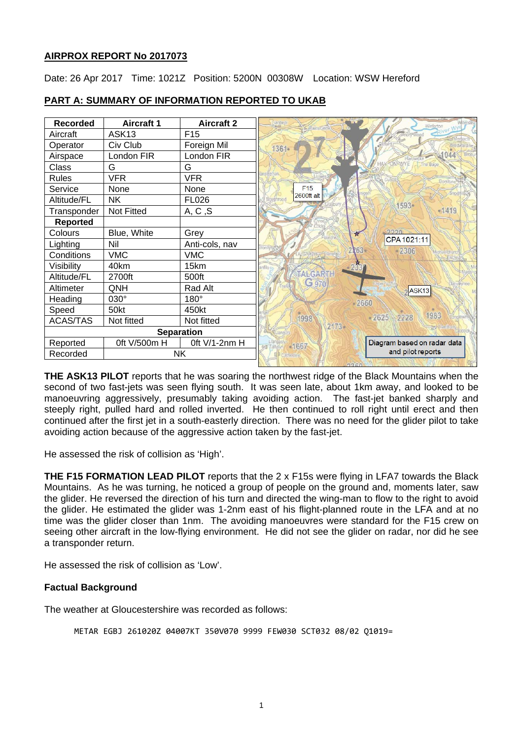## **AIRPROX REPORT No 2017073**

Date: 26 Apr 2017 Time: 1021Z Position: 5200N 00308W Location: WSW Hereford

| <b>Recorded</b>       | <b>Aircraft 1</b> | <b>Aircraft 2</b> | sanbed<br>Winforto                           |
|-----------------------|-------------------|-------------------|----------------------------------------------|
| Aircraft              | ASK <sub>13</sub> | F <sub>15</sub>   |                                              |
| Operator              | Civ Club          | Foreign Mil       | 1361-                                        |
| Airspace              | London FIR        | London FIR        | 1044                                         |
| Class                 | G                 | G                 | HAX-ON-WYE<br>The Bage                       |
| Rules                 | <b>VFR</b>        | <b>VFR</b>        |                                              |
| Service               | <b>None</b>       | None              | F15                                          |
| Altitude/FL           | <b>NK</b>         | <b>FL026</b>      | 2600ft alt<br>1593•                          |
| Transponder           | Not Fitted        | A, C, S           | $-1419$                                      |
| <b>Reported</b>       |                   |                   |                                              |
| Colours               | Blue, White       | Grey              | 2220<br>肯<br>CPA 1021:11                     |
| Lighting              | Nil               | Anti-cols, nav    | 2263                                         |
| Conditions            | <b>VMC</b>        | <b>VMC</b>        | $-2306$                                      |
| Visibility            | 40km              | 15km              | 2337<br>infilo 4                             |
| Altitude/FL           | 2700ft            | 500ft             | <b>TALGARTH</b>                              |
| Altimeter             | QNH               | Rad Alt           | G 970<br>evnoe<br>$\lambda$ SK <sub>13</sub> |
| Heading               | 030°              | $180^\circ$       | 2660                                         |
| Speed                 | 50kt              | 450kt             | 1983                                         |
| <b>ACAS/TAS</b>       | Not fitted        | Not fitted        | 2625<br>2228<br>1998<br>$2173 -$             |
| <b>Separation</b>     |                   |                   |                                              |
| Reported              | 0ft V/500m H      | 0ft V/1-2nm H     | Diagram based on radar data<br>-1667<br>中国   |
| Recorded<br><b>NK</b> |                   |                   | and pilot reports                            |

# **PART A: SUMMARY OF INFORMATION REPORTED TO UKAB**

**THE ASK13 PILOT** reports that he was soaring the northwest ridge of the Black Mountains when the second of two fast-jets was seen flying south. It was seen late, about 1km away, and looked to be manoeuvring aggressively, presumably taking avoiding action. The fast-jet banked sharply and steeply right, pulled hard and rolled inverted. He then continued to roll right until erect and then continued after the first jet in a south-easterly direction. There was no need for the glider pilot to take avoiding action because of the aggressive action taken by the fast-jet.

He assessed the risk of collision as 'High'.

**THE F15 FORMATION LEAD PILOT** reports that the 2 x F15s were flying in LFA7 towards the Black Mountains. As he was turning, he noticed a group of people on the ground and, moments later, saw the glider. He reversed the direction of his turn and directed the wing-man to flow to the right to avoid the glider. He estimated the glider was 1-2nm east of his flight-planned route in the LFA and at no time was the glider closer than 1nm. The avoiding manoeuvres were standard for the F15 crew on seeing other aircraft in the low-flying environment. He did not see the glider on radar, nor did he see a transponder return.

He assessed the risk of collision as 'Low'.

## **Factual Background**

The weather at Gloucestershire was recorded as follows:

METAR EGBJ 261020Z 04007KT 350V070 9999 FEW030 SCT032 08/02 Q1019=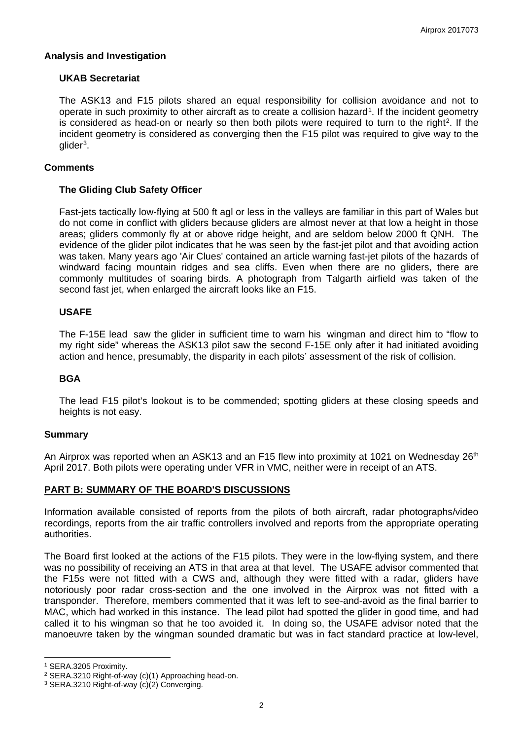### **Analysis and Investigation**

### **UKAB Secretariat**

The ASK13 and F15 pilots shared an equal responsibility for collision avoidance and not to operate in such proximity to other aircraft as to create a collision hazard[1](#page-1-0). If the incident geometry is considered as head-on or nearly so then both pilots were required to turn to the right<sup>2</sup>. If the incident geometry is considered as converging then the F15 pilot was required to give way to the  $d$ ider<sup>3</sup>.

### **Comments**

### **The Gliding Club Safety Officer**

Fast-jets tactically low-flying at 500 ft agl or less in the valleys are familiar in this part of Wales but do not come in conflict with gliders because gliders are almost never at that low a height in those areas; gliders commonly fly at or above ridge height, and are seldom below 2000 ft QNH. The evidence of the glider pilot indicates that he was seen by the fast-jet pilot and that avoiding action was taken. Many years ago 'Air Clues' contained an article warning fast-jet pilots of the hazards of windward facing mountain ridges and sea cliffs. Even when there are no gliders, there are commonly multitudes of soaring birds. A photograph from Talgarth airfield was taken of the second fast jet, when enlarged the aircraft looks like an F15.

## **USAFE**

The F-15E lead saw the glider in sufficient time to warn his wingman and direct him to "flow to my right side" whereas the ASK13 pilot saw the second F-15E only after it had initiated avoiding action and hence, presumably, the disparity in each pilots' assessment of the risk of collision.

#### **BGA**

The lead F15 pilot's lookout is to be commended; spotting gliders at these closing speeds and heights is not easy.

#### **Summary**

An Airprox was reported when an ASK13 and an F15 flew into proximity at 1021 on Wednesday 26<sup>th</sup> April 2017. Both pilots were operating under VFR in VMC, neither were in receipt of an ATS.

## **PART B: SUMMARY OF THE BOARD'S DISCUSSIONS**

Information available consisted of reports from the pilots of both aircraft, radar photographs/video recordings, reports from the air traffic controllers involved and reports from the appropriate operating authorities.

The Board first looked at the actions of the F15 pilots. They were in the low-flying system, and there was no possibility of receiving an ATS in that area at that level. The USAFE advisor commented that the F15s were not fitted with a CWS and, although they were fitted with a radar, gliders have notoriously poor radar cross-section and the one involved in the Airprox was not fitted with a transponder. Therefore, members commented that it was left to see-and-avoid as the final barrier to MAC, which had worked in this instance. The lead pilot had spotted the glider in good time, and had called it to his wingman so that he too avoided it. In doing so, the USAFE advisor noted that the manoeuvre taken by the wingman sounded dramatic but was in fact standard practice at low-level,

 $\overline{a}$ 

<span id="page-1-0"></span><sup>1</sup> SERA.3205 Proximity.

<span id="page-1-1"></span><sup>2</sup> SERA.3210 Right-of-way (c)(1) Approaching head-on.

<span id="page-1-2"></span><sup>3</sup> SERA.3210 Right-of-way (c)(2) Converging.